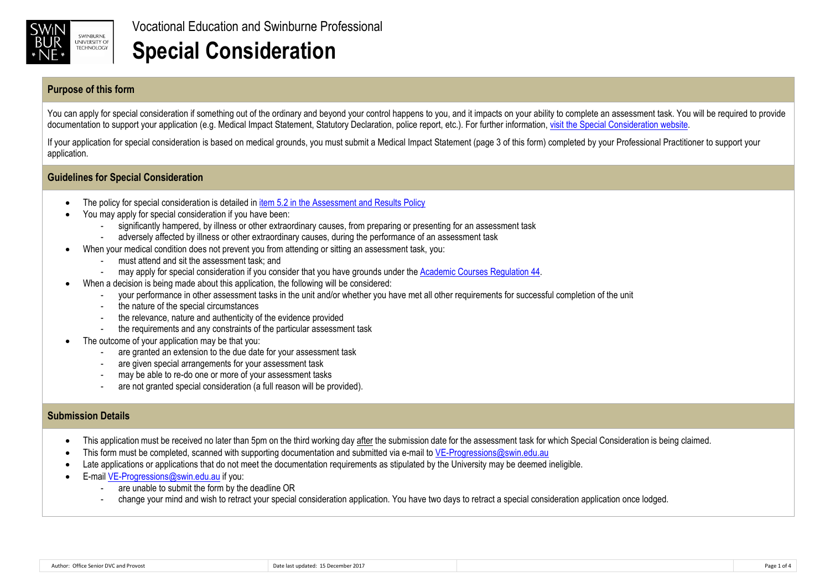

## **Purpose of this form**

You can apply for special consideration if something out of the ordinary and beyond your control happens to you, and it impacts on your ability to complete an assessment task. You will be required to provide documentation to support your application (e.g. Medical Impact Statement, Statutory Declaration, police report, etc.). For further information, visit the Special Consideration website.

If your application for special consideration is based on medical grounds, you must submit a Medical Impact Statement (page 3 of this form) completed by your Professional Practitioner to support your application.

## **Guidelines for Special Consideration**

- The policy for special consideration is detailed in item 5.2 in the Assessment and Results Policy
- You may apply for special consideration if you have been:
	- significantly hampered, by illness or other extraordinary causes, from preparing or presenting for an assessment task
	- adversely affected by illness or other extraordinary causes, during the performance of an assessment task
- When your medical condition does not prevent you from attending or sitting an assessment task, you:
	- must attend and sit the assessment task; and
	- may apply for special consideration if you consider that you have grounds under the Academic Courses Regulation 44.
	- When a decision is being made about this application, the following will be considered:
		- your performance in other assessment tasks in the unit and/or whether you have met all other requirements for successful completion of the unit
		- the nature of the special circumstances
		- the relevance, nature and authenticity of the evidence provided
		- the requirements and any constraints of the particular assessment task
- The outcome of your application may be that you:
	- are granted an extension to the due date for your assessment task
	- are given special arrangements for your assessment task
	- may be able to re-do one or more of your assessment tasks
	- are not granted special consideration (a full reason will be provided).

## **Submission Details**

- This application must be received no later than 5pm on the third working day after the submission date for the assessment task for which Special Consideration is being claimed.
- This form must be completed, scanned with supporting documentation and submitted via e-mail to VE-Progressions@swin.edu.au
- Late applications or applications that do not meet the documentation requirements as stipulated by the University may be deemed ineligible.
- E-mail VE-Progressions@swin.edu.au if you:
	- are unable to submit the form by the deadline OR
	- change your mind and wish to retract your special consideration application. You have two days to retract a special consideration application once lodged.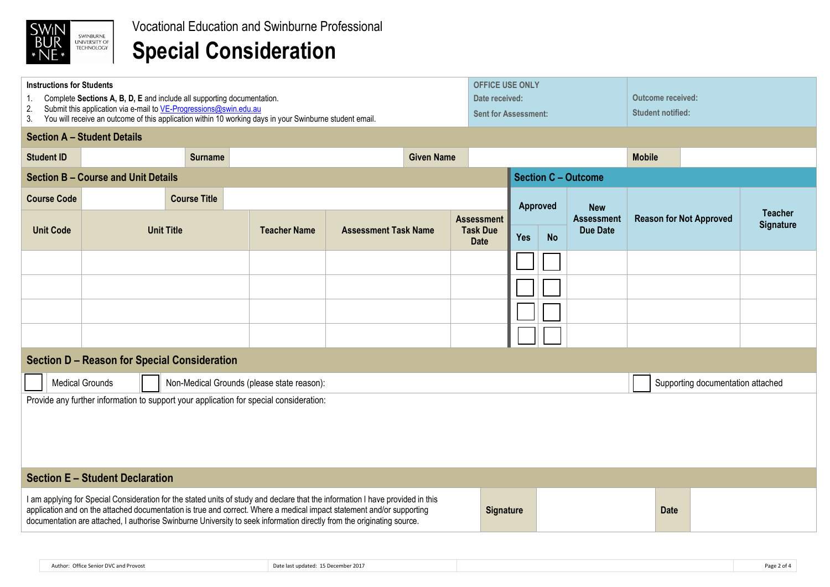

# **Special Consideration**

| <b>Instructions for Students</b><br>Complete Sections A, B, D, E and include all supporting documentation.                                                                                                                                                                                                                                                                        |                                    |                     |                |                     |                             |  | <b>OFFICE USE ONLY</b><br>Date received: |                                   |                         |  | Outcome received:                    |                                |  |                                    |
|-----------------------------------------------------------------------------------------------------------------------------------------------------------------------------------------------------------------------------------------------------------------------------------------------------------------------------------------------------------------------------------|------------------------------------|---------------------|----------------|---------------------|-----------------------------|--|------------------------------------------|-----------------------------------|-------------------------|--|--------------------------------------|--------------------------------|--|------------------------------------|
| Submit this application via e-mail to VE-Progressions@swin.edu.au<br>2.<br><b>Sent for Assessment:</b><br>You will receive an outcome of this application within 10 working days in your Swinburne student email.<br>3.                                                                                                                                                           |                                    |                     |                |                     |                             |  |                                          |                                   |                         |  |                                      | <b>Student notified:</b>       |  |                                    |
|                                                                                                                                                                                                                                                                                                                                                                                   | <b>Section A - Student Details</b> |                     |                |                     |                             |  |                                          |                                   |                         |  |                                      |                                |  |                                    |
| <b>Student ID</b>                                                                                                                                                                                                                                                                                                                                                                 |                                    |                     | <b>Surname</b> | <b>Given Name</b>   |                             |  |                                          |                                   |                         |  | <b>Mobile</b>                        |                                |  |                                    |
| <b>Section B - Course and Unit Details</b>                                                                                                                                                                                                                                                                                                                                        |                                    |                     |                |                     |                             |  | <b>Section C - Outcome</b>               |                                   |                         |  |                                      |                                |  |                                    |
| <b>Course Code</b>                                                                                                                                                                                                                                                                                                                                                                |                                    | <b>Course Title</b> |                | <b>Approved</b>     |                             |  | <b>New</b>                               |                                   |                         |  |                                      |                                |  |                                    |
| <b>Unit Code</b>                                                                                                                                                                                                                                                                                                                                                                  | <b>Unit Title</b>                  |                     |                | <b>Teacher Name</b> | <b>Assessment Task Name</b> |  | <b>Assessment</b><br><b>Task Due</b>     |                                   | <b>Yes</b><br><b>No</b> |  | <b>Assessment</b><br><b>Due Date</b> | <b>Reason for Not Approved</b> |  | <b>Teacher</b><br><b>Signature</b> |
|                                                                                                                                                                                                                                                                                                                                                                                   |                                    |                     |                |                     |                             |  | <b>Date</b>                              |                                   |                         |  |                                      |                                |  |                                    |
|                                                                                                                                                                                                                                                                                                                                                                                   |                                    |                     |                |                     |                             |  |                                          |                                   |                         |  |                                      |                                |  |                                    |
|                                                                                                                                                                                                                                                                                                                                                                                   |                                    |                     |                |                     |                             |  |                                          |                                   |                         |  |                                      |                                |  |                                    |
|                                                                                                                                                                                                                                                                                                                                                                                   |                                    |                     |                |                     |                             |  |                                          |                                   |                         |  |                                      |                                |  |                                    |
|                                                                                                                                                                                                                                                                                                                                                                                   |                                    |                     |                |                     |                             |  |                                          |                                   |                         |  |                                      |                                |  |                                    |
| <b>Section D - Reason for Special Consideration</b>                                                                                                                                                                                                                                                                                                                               |                                    |                     |                |                     |                             |  |                                          |                                   |                         |  |                                      |                                |  |                                    |
| <b>Medical Grounds</b><br>Non-Medical Grounds (please state reason):                                                                                                                                                                                                                                                                                                              |                                    |                     |                |                     |                             |  |                                          | Supporting documentation attached |                         |  |                                      |                                |  |                                    |
| Provide any further information to support your application for special consideration:                                                                                                                                                                                                                                                                                            |                                    |                     |                |                     |                             |  |                                          |                                   |                         |  |                                      |                                |  |                                    |
|                                                                                                                                                                                                                                                                                                                                                                                   |                                    |                     |                |                     |                             |  |                                          |                                   |                         |  |                                      |                                |  |                                    |
| <b>Section E - Student Declaration</b>                                                                                                                                                                                                                                                                                                                                            |                                    |                     |                |                     |                             |  |                                          |                                   |                         |  |                                      |                                |  |                                    |
| I am applying for Special Consideration for the stated units of study and declare that the information I have provided in this<br>application and on the attached documentation is true and correct. Where a medical impact statement and/or supporting<br>documentation are attached, I authorise Swinburne University to seek information directly from the originating source. |                                    |                     |                |                     | <b>Signature</b>            |  |                                          |                                   | <b>Date</b>             |  |                                      |                                |  |                                    |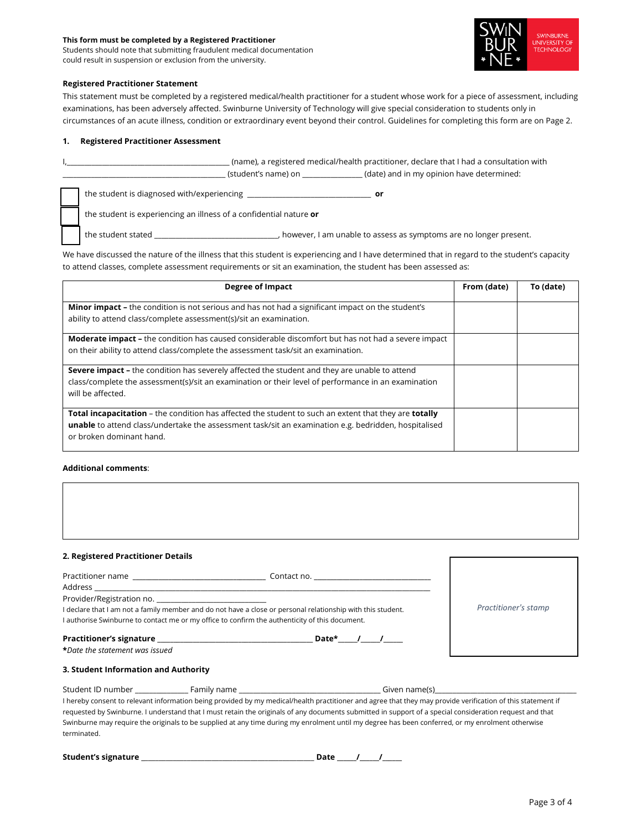#### **This form must be completed by a Registered Practitioner**

Students should note that submitting fraudulent medical documentation could result in suspension or exclusion from the university.



#### **Registered Practitioner Statement**

This statement must be completed by a registered medical/health practitioner for a student whose work for a piece of assessment, including examinations, has been adversely affected. Swinburne University of Technology will give special consideration to students only in circumstances of an acute illness, condition or extraordinary event beyond their control. Guidelines for completing this form are on Page 2.

#### **1. Registered Practitioner Assessment**

 $\_$  (name), a registered medical/health practitioner, declare that I had a consultation with \_\_\_\_\_\_\_\_\_\_\_\_\_\_\_\_\_\_\_\_\_\_\_\_\_\_\_\_\_\_\_\_\_\_\_\_\_\_\_\_\_\_\_\_\_\_ (student's name) on \_\_\_\_\_\_\_\_\_\_\_\_\_\_\_\_\_ (date) and in my opinion have determined:

the student is diagnosed with/experiencing \_\_\_\_\_\_\_\_\_\_\_\_\_\_\_\_\_\_\_\_\_\_\_\_\_\_\_\_\_\_\_\_\_\_\_ **or**

the student is experiencing an illness of a confidential nature **or**

the student stated \_\_\_\_\_\_\_\_\_\_\_\_\_\_\_\_\_\_\_\_\_\_\_\_\_\_\_\_\_\_\_\_\_\_\_, however, I am unable to assess as symptoms are no longer present.

We have discussed the nature of the illness that this student is experiencing and I have determined that in regard to the student's capacity to attend classes, complete assessment requirements or sit an examination, the student has been assessed as:

| <b>Degree of Impact</b>                                                                                                                                                                                                                                 | From (date) | To (date) |
|---------------------------------------------------------------------------------------------------------------------------------------------------------------------------------------------------------------------------------------------------------|-------------|-----------|
| <b>Minor impact</b> – the condition is not serious and has not had a significant impact on the student's<br>ability to attend class/complete assessment(s)/sit an examination.                                                                          |             |           |
| <b>Moderate impact - the condition has caused considerable discomfort but has not had a severe impact</b><br>on their ability to attend class/complete the assessment task/sit an examination.                                                          |             |           |
| <b>Severe impact -</b> the condition has severely affected the student and they are unable to attend<br>class/complete the assessment(s)/sit an examination or their level of performance in an examination<br>will be affected.                        |             |           |
| <b>Total incapacitation</b> – the condition has affected the student to such an extent that they are <b>totally</b><br>unable to attend class/undertake the assessment task/sit an examination e.g. bedridden, hospitalised<br>or broken dominant hand. |             |           |

### **Additional comments**:

| 2. Registered Practitioner Details                                                                                                                                                                            |                      |  |  |
|---------------------------------------------------------------------------------------------------------------------------------------------------------------------------------------------------------------|----------------------|--|--|
|                                                                                                                                                                                                               |                      |  |  |
| I declare that I am not a family member and do not have a close or personal relationship with this student.<br>I authorise Swinburne to contact me or my office to confirm the authenticity of this document. | Practitioner's stamp |  |  |
| *Date the statement was issued                                                                                                                                                                                |                      |  |  |
| 3. Student Information and Authority                                                                                                                                                                          |                      |  |  |
|                                                                                                                                                                                                               |                      |  |  |

I hereby consent to relevant information being provided by my medical/health practitioner and agree that they may provide verification of this statement if requested by Swinburne. I understand that I must retain the originals of any documents submitted in support of a special consideration request and that Swinburne may require the originals to be supplied at any time during my enrolment until my degree has been conferred, or my enrolment otherwise terminated.

**Student's signature \_**\_\_\_\_\_\_\_\_\_\_\_\_\_\_\_\_\_\_\_\_\_\_\_\_\_\_\_\_\_\_\_\_\_\_\_\_\_\_\_\_\_\_\_\_\_\_\_\_ **Date \_\_\_\_\_\_/\_\_\_\_\_\_/\_\_\_\_\_\_**